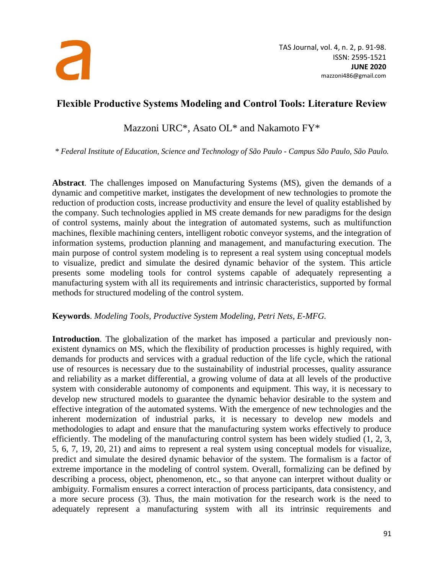

## **Flexible Productive Systems Modeling and Control Tools: Literature Review**

Mazzoni URC\*, Asato OL\* and Nakamoto FY\*

*\* Federal Institute of Education, Science and Technology of São Paulo - Campus São Paulo, São Paulo.*

**Abstract**. The challenges imposed on Manufacturing Systems (MS), given the demands of a dynamic and competitive market, instigates the development of new technologies to promote the reduction of production costs, increase productivity and ensure the level of quality established by the company. Such technologies applied in MS create demands for new paradigms for the design of control systems, mainly about the integration of automated systems, such as multifunction machines, flexible machining centers, intelligent robotic conveyor systems, and the integration of information systems, production planning and management, and manufacturing execution. The main purpose of control system modeling is to represent a real system using conceptual models to visualize, predict and simulate the desired dynamic behavior of the system. This article presents some modeling tools for control systems capable of adequately representing a manufacturing system with all its requirements and intrinsic characteristics, supported by formal methods for structured modeling of the control system.

## **Keywords**. *Modeling Tools, Productive System Modeling, Petri Nets, E-MFG.*

**Introduction**. The globalization of the market has imposed a particular and previously nonexistent dynamics on MS, which the flexibility of production processes is highly required, with demands for products and services with a gradual reduction of the life cycle, which the rational use of resources is necessary due to the sustainability of industrial processes, quality assurance and reliability as a market differential, a growing volume of data at all levels of the productive system with considerable autonomy of components and equipment. This way, it is necessary to develop new structured models to guarantee the dynamic behavior desirable to the system and effective integration of the automated systems. With the emergence of new technologies and the inherent modernization of industrial parks, it is necessary to develop new models and methodologies to adapt and ensure that the manufacturing system works effectively to produce efficiently. The modeling of the manufacturing control system has been widely studied (1, 2, 3, 5, 6, 7, 19, 20, 21) and aims to represent a real system using conceptual models for visualize, predict and simulate the desired dynamic behavior of the system. The formalism is a factor of extreme importance in the modeling of control system. Overall, formalizing can be defined by describing a process, object, phenomenon, etc., so that anyone can interpret without duality or ambiguity. Formalism ensures a correct interaction of process participants, data consistency, and a more secure process (3). Thus, the main motivation for the research work is the need to adequately represent a manufacturing system with all its intrinsic requirements and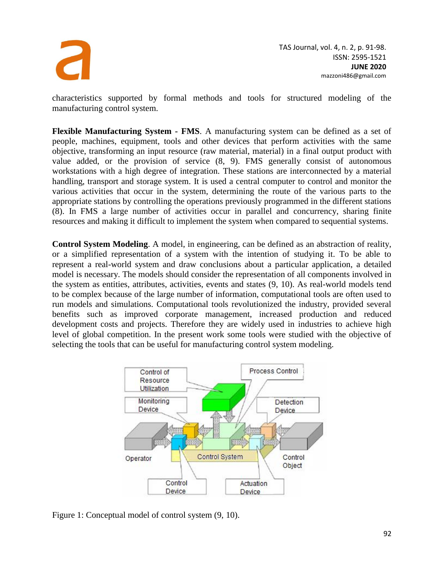

characteristics supported by formal methods and tools for structured modeling of the manufacturing control system.

**Flexible Manufacturing System - FMS**. A manufacturing system can be defined as a set of people, machines, equipment, tools and other devices that perform activities with the same objective, transforming an input resource (raw material, material) in a final output product with value added, or the provision of service (8, 9). FMS generally consist of autonomous workstations with a high degree of integration. These stations are interconnected by a material handling, transport and storage system. It is used a central computer to control and monitor the various activities that occur in the system, determining the route of the various parts to the appropriate stations by controlling the operations previously programmed in the different stations (8). In FMS a large number of activities occur in parallel and concurrency, sharing finite resources and making it difficult to implement the system when compared to sequential systems.

**Control System Modeling**. A model, in engineering, can be defined as an abstraction of reality, or a simplified representation of a system with the intention of studying it. To be able to represent a real-world system and draw conclusions about a particular application, a detailed model is necessary. The models should consider the representation of all components involved in the system as entities, attributes, activities, events and states (9, 10). As real-world models tend to be complex because of the large number of information, computational tools are often used to run models and simulations. Computational tools revolutionized the industry, provided several benefits such as improved corporate management, increased production and reduced development costs and projects. Therefore they are widely used in industries to achieve high level of global competition. In the present work some tools were studied with the objective of selecting the tools that can be useful for manufacturing control system modeling.



Figure 1: Conceptual model of control system (9, 10).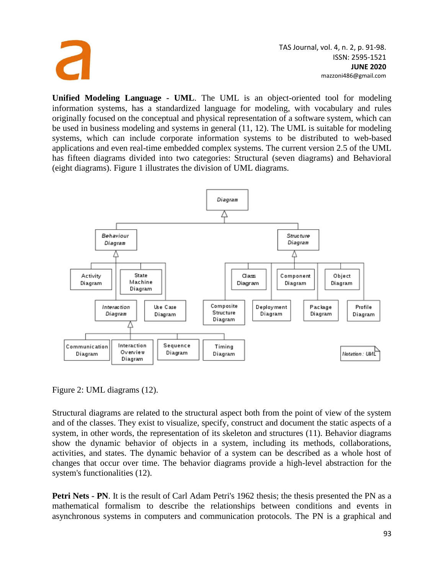

**Unified Modeling Language - UML**. The UML is an object-oriented tool for modeling information systems, has a standardized language for modeling, with vocabulary and rules originally focused on the conceptual and physical representation of a software system, which can be used in business modeling and systems in general (11, 12). The UML is suitable for modeling systems, which can include corporate information systems to be distributed to web-based applications and even real-time embedded complex systems. The current version 2.5 of the UML has fifteen diagrams divided into two categories: Structural (seven diagrams) and Behavioral (eight diagrams). Figure 1 illustrates the division of UML diagrams.



Figure 2: UML diagrams (12).

Structural diagrams are related to the structural aspect both from the point of view of the system and of the classes. They exist to visualize, specify, construct and document the static aspects of a system, in other words, the representation of its skeleton and structures (11). Behavior diagrams show the dynamic behavior of objects in a system, including its methods, collaborations, activities, and states. The dynamic behavior of a system can be described as a whole host of changes that occur over time. The behavior diagrams provide a high-level abstraction for the system's functionalities (12).

**Petri Nets - <b>PN**. It is the result of Carl Adam Petri's 1962 thesis; the thesis presented the PN as a mathematical formalism to describe the relationships between conditions and events in asynchronous systems in computers and communication protocols. The PN is a graphical and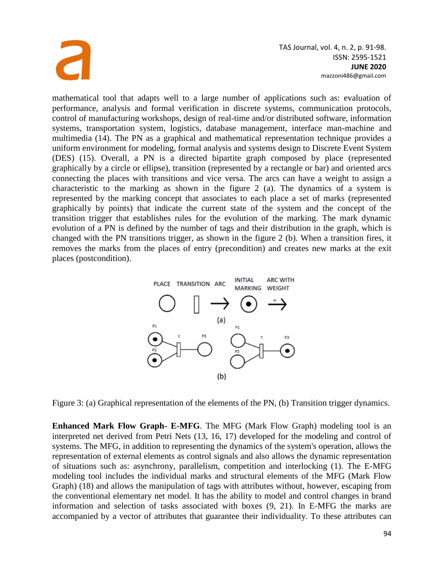

mathematical tool that adapts well to a large number of applications such as: evaluation of performance, analysis and formal verification in discrete systems, communication protocols, control of manufacturing workshops, design of real-time and/or distributed software, information systems, transportation system, logistics, database management, interface man-machine and multimedia (14). The PN as a graphical and mathematical representation technique provides a uniform environment for modeling, formal analysis and systems design to Discrete Event System (DES) (15). Overall, a PN is a directed bipartite graph composed by place (represented graphically by a circle or ellipse), transition (represented by a rectangle or bar) and oriented arcs connecting the places with transitions and vice versa. The arcs can have a weight to assign a characteristic to the marking as shown in the figure 2 (a). The dynamics of a system is represented by the marking concept that associates to each place a set of marks (represented graphically by points) that indicate the current state of the system and the concept of the transition trigger that establishes rules for the evolution of the marking. The mark dynamic evolution of a PN is defined by the number of tags and their distribution in the graph, which is changed with the PN transitions trigger, as shown in the figure 2 (b). When a transition fires, it removes the marks from the places of entry (precondition) and creates new marks at the exit places (postcondition).



Figure 3: (a) Graphical representation of the elements of the PN, (b) Transition trigger dynamics.

**Enhanced Mark Flow Graph- E-MFG**. The MFG (Mark Flow Graph) modeling tool is an interpreted net derived from Petri Nets (13, 16, 17) developed for the modeling and control of systems. The MFG, in addition to representing the dynamics of the system's operation, allows the representation of external elements as control signals and also allows the dynamic representation of situations such as: asynchrony, parallelism, competition and interlocking (1). The E-MFG modeling tool includes the individual marks and structural elements of the MFG (Mark Flow Graph) (18) and allows the manipulation of tags with attributes without, however, escaping from the conventional elementary net model. It has the ability to model and control changes in brand information and selection of tasks associated with boxes (9, 21). In E-MFG the marks are accompanied by a vector of attributes that guarantee their individuality. To these attributes can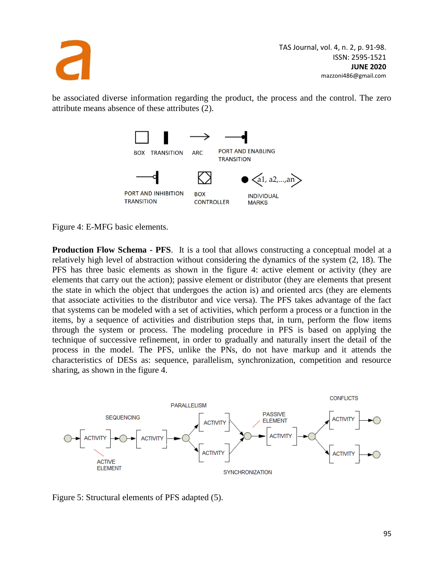

be associated diverse information regarding the product, the process and the control. The zero attribute means absence of these attributes (2).



Figure 4: E-MFG basic elements.

**Production Flow Schema - PFS**. It is a tool that allows constructing a conceptual model at a relatively high level of abstraction without considering the dynamics of the system (2, 18). The PFS has three basic elements as shown in the figure 4: active element or activity (they are elements that carry out the action); passive element or distributor (they are elements that present the state in which the object that undergoes the action is) and oriented arcs (they are elements that associate activities to the distributor and vice versa). The PFS takes advantage of the fact that systems can be modeled with a set of activities, which perform a process or a function in the items, by a sequence of activities and distribution steps that, in turn, perform the flow items through the system or process. The modeling procedure in PFS is based on applying the technique of successive refinement, in order to gradually and naturally insert the detail of the process in the model. The PFS, unlike the PNs, do not have markup and it attends the characteristics of DESs as: sequence, parallelism, synchronization, competition and resource sharing, as shown in the figure 4.



Figure 5: Structural elements of PFS adapted (5).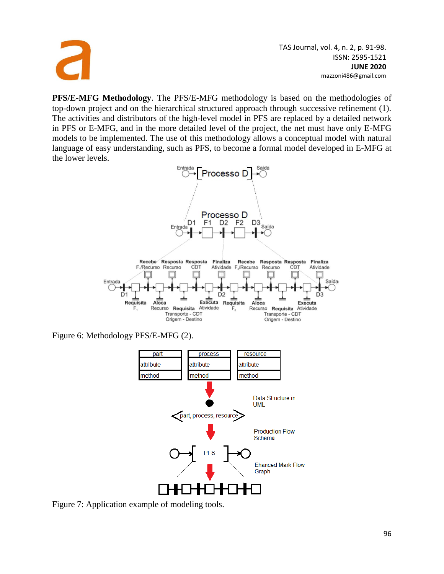

**PFS/E-MFG Methodology**. The PFS/E-MFG methodology is based on the methodologies of top-down project and on the hierarchical structured approach through successive refinement (1). The activities and distributors of the high-level model in PFS are replaced by a detailed network in PFS or E-MFG, and in the more detailed level of the project, the net must have only E-MFG models to be implemented. The use of this methodology allows a conceptual model with natural language of easy understanding, such as PFS, to become a formal model developed in E-MFG at the lower levels.



Figure 6: Methodology PFS/E-MFG (2).



Figure 7: Application example of modeling tools.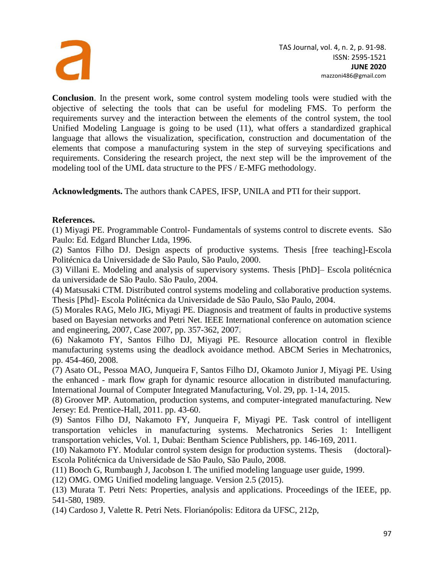

**Conclusion**. In the present work, some control system modeling tools were studied with the objective of selecting the tools that can be useful for modeling FMS. To perform the requirements survey and the interaction between the elements of the control system, the tool Unified Modeling Language is going to be used (11), what offers a standardized graphical language that allows the visualization, specification, construction and documentation of the elements that compose a manufacturing system in the step of surveying specifications and requirements. Considering the research project, the next step will be the improvement of the modeling tool of the UML data structure to the PFS / E-MFG methodology.

**Acknowledgments.** The authors thank CAPES, IFSP, UNILA and PTI for their support.

## **References.**

(1) Miyagi PE. Programmable Control- Fundamentals of systems control to discrete events. São Paulo: Ed. Edgard Bluncher Ltda, 1996.

(2) Santos Filho DJ. Design aspects of productive systems. Thesis [free teaching]-Escola Politécnica da Universidade de São Paulo, São Paulo, 2000.

(3) Villani E. Modeling and analysis of supervisory systems. Thesis [PhD]– Escola politécnica da universidade de São Paulo. São Paulo, 2004.

(4) Matsusaki CTM. Distributed control systems modeling and collaborative production systems. Thesis [Phd]- Escola Politécnica da Universidade de São Paulo, São Paulo, 2004.

(5) Morales RAG, Melo JIG, Miyagi PE. Diagnosis and treatment of faults in productive systems based on Bayesian networks and Petri Net. IEEE International conference on automation science and engineering, 2007, Case 2007, pp. 357-362, 2007.

(6) Nakamoto FY, Santos Filho DJ, Miyagi PE. Resource allocation control in flexible manufacturing systems using the deadlock avoidance method. ABCM Series in Mechatronics, pp. 454-460, 2008.

(7) Asato OL, Pessoa MAO, Junqueira F, Santos Filho DJ, Okamoto Junior J, Miyagi PE. Using the enhanced - mark flow graph for dynamic resource allocation in distributed manufacturing. International Journal of Computer Integrated Manufacturing, Vol. 29, pp. 1-14, 2015.

(8) Groover MP. Automation, production systems, and computer-integrated manufacturing. New Jersey: Ed. Prentice-Hall, 2011. pp. 43-60.

(9) Santos Filho DJ, Nakamoto FY, Junqueira F, Miyagi PE. Task control of intelligent transportation vehicles in manufacturing systems. Mechatronics Series 1: Intelligent transportation vehicles, Vol. 1, Dubai: Bentham Science Publishers, pp. 146-169, 2011.

(10) Nakamoto FY. Modular control system design for production systems. Thesis (doctoral)- Escola Politécnica da Universidade de São Paulo, São Paulo, 2008.

(11) Booch G, Rumbaugh J, Jacobson I. The unified modeling language user guide, 1999.

(12) OMG. OMG Unified modeling language. Version 2.5 (2015).

(13) Murata T. Petri Nets: Properties, analysis and applications. Proceedings of the IEEE, pp. 541-580, 1989.

(14) Cardoso J, Valette R. Petri Nets. Florianópolis: Editora da UFSC, 212p,